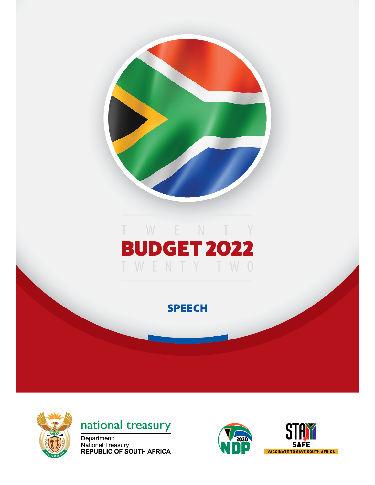

# T WE NTY TWENTY TWO

# **SPEECH**





Department: National Treasury<br>REPUBLIC OF SOUTH AFRICA



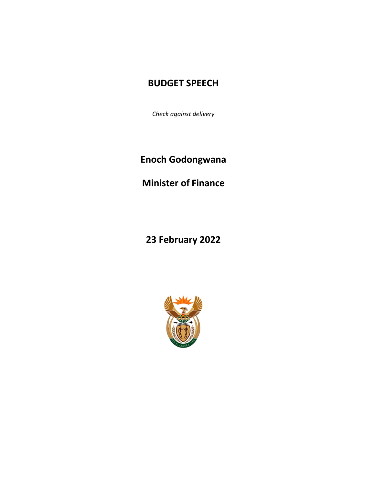## **BUDGET SPEECH**

*Check against delivery* 

# **Enoch Godongwana**

## **Minister of Finance**

# **23 February 2022**

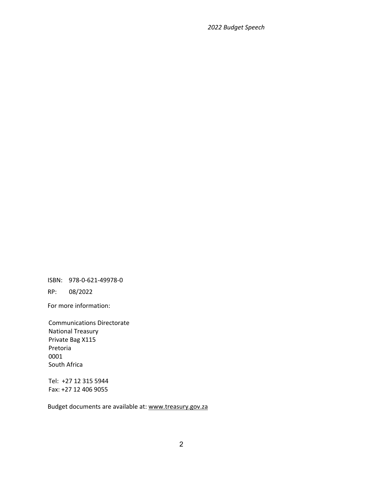*2022 Budget Speech* 

ISBN: 978-0-621-49978-0

RP: 08/2022

For more information:

Communications Directorate National Treasury Private Bag X115 Pretoria 0001 South Africa

Tel: +27 12 315 5944 Fax: +27 12 406 9055

Budget documents are available at: www.treasury.gov.za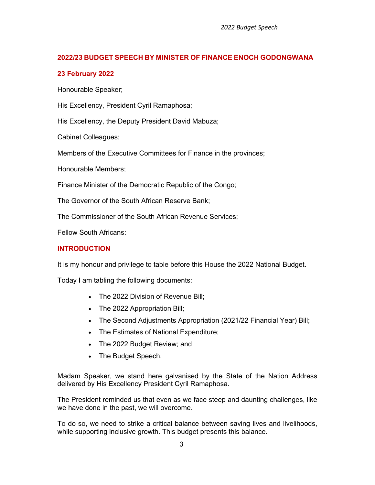## **2022/23 BUDGET SPEECH BY MINISTER OF FINANCE ENOCH GODONGWANA**

#### **23 February 2022**

Honourable Speaker;  

His Excellency, President Cyril Ramaphosa; 

His Excellency, the Deputy President David Mabuza;  

Cabinet Colleagues; 

Members of the Executive Committees for Finance in the provinces; 

Honourable Members; 

Finance Minister of the Democratic Republic of the Congo;

The Governor of the South African Reserve Bank; 

The Commissioner of the South African Revenue Services; 

Fellow South Africans:

#### **INTRODUCTION**

It is my honour and privilege to table before this House the 2022 National Budget. 

Today I am tabling the following documents:

- The 2022 Division of Revenue Bill;
- The 2022 Appropriation Bill;
- The Second Adjustments Appropriation (2021/22 Financial Year) Bill;
- The Estimates of National Expenditure;
- The 2022 Budget Review; and
- The Budget Speech.

Madam Speaker, we stand here galvanised by the State of the Nation Address delivered by His Excellency President Cyril Ramaphosa.

The President reminded us that even as we face steep and daunting challenges, like we have done in the past, we will overcome. 

To do so, we need to strike a critical balance between saving lives and livelihoods, while supporting inclusive growth. This budget presents this balance.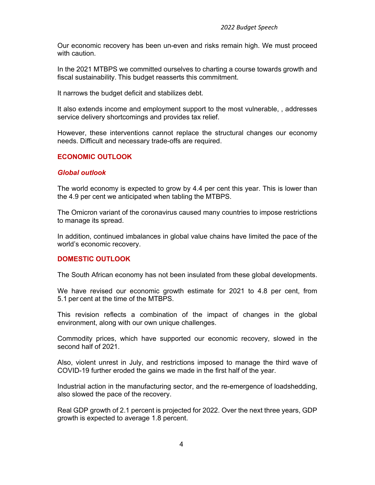Our economic recovery has been un-even and risks remain high. We must proceed with caution.

In the 2021 MTBPS we committed ourselves to charting a course towards growth and fiscal sustainability. This budget reasserts this commitment.

It narrows the budget deficit and stabilizes debt.

It also extends income and employment support to the most vulnerable, , addresses service delivery shortcomings and provides tax relief.

However, these interventions cannot replace the structural changes our economy needs. Difficult and necessary trade-offs are required.

#### **ECONOMIC OUTLOOK**

#### *Global outlook*

The world economy is expected to grow by 4.4 per cent this year. This is lower than the 4.9 per cent we anticipated when tabling the MTBPS.

The Omicron variant of the coronavirus caused many countries to impose restrictions to manage its spread.

In addition, continued imbalances in global value chains have limited the pace of the world's economic recovery.    

#### **DOMESTIC OUTLOOK**

The South African economy has not been insulated from these global developments.

We have revised our economic growth estimate for 2021 to 4.8 per cent, from 5.1 per cent at the time of the MTBPS.

This revision reflects a combination of the impact of changes in the global environment, along with our own unique challenges.

Commodity prices, which have supported our economic recovery, slowed in the second half of 2021.

Also, violent unrest in July, and restrictions imposed to manage the third wave of COVID-19 further eroded the gains we made in the first half of the year.

Industrial action in the manufacturing sector, and the re-emergence of loadshedding, also slowed the pace of the recovery.

Real GDP growth of 2.1 percent is projected for 2022. Over the next three years, GDP growth is expected to average 1.8 percent.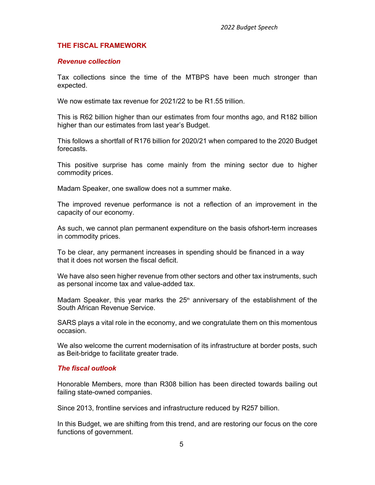#### **THE FISCAL FRAMEWORK**

#### *Revenue collection*

Tax collections since the time of the MTBPS have been much stronger than expected.

We now estimate tax revenue for 2021/22 to be R1.55 trillion.

This is R62 billion higher than our estimates from four months ago, and R182 billion higher than our estimates from last year's Budget.

This follows a shortfall of R176 billion for 2020/21 when compared to the 2020 Budget forecasts.

This positive surprise has come mainly from the mining sector due to higher commodity prices.

Madam Speaker, one swallow does not a summer make.

The improved revenue performance is not a reflection of an improvement in the capacity of our economy.

As such, we cannot plan permanent expenditure on the basis ofshort-term increases in commodity prices.

To be clear, any permanent increases in spending should be financed in a way that it does not worsen the fiscal deficit.

We have also seen higher revenue from other sectors and other tax instruments, such as personal income tax and value-added tax.

Madam Speaker, this year marks the  $25<sup>th</sup>$  anniversary of the establishment of the South African Revenue Service.

SARS plays a vital role in the economy, and we congratulate them on this momentous occasion.

We also welcome the current modernisation of its infrastructure at border posts, such as Beit-bridge to facilitate greater trade.

#### *The fiscal outlook*

Honorable Members, more than R308 billion has been directed towards bailing out failing state-owned companies.

Since 2013, frontline services and infrastructure reduced by R257 billion.

In this Budget, we are shifting from this trend, and are restoring our focus on the core functions of government.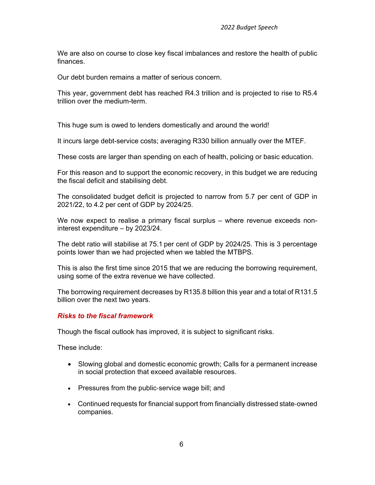We are also on course to close key fiscal imbalances and restore the health of public finances.

Our debt burden remains a matter of serious concern.

This year, government debt has reached R4.3 trillion and is projected to rise to R5.4 trillion over the medium-term.

This huge sum is owed to lenders domestically and around the world!

It incurs large debt-service costs; averaging R330 billion annually over the MTEF.

These costs are larger than spending on each of health, policing or basic education.

For this reason and to support the economic recovery, in this budget we are reducing the fiscal deficit and stabilising debt.

The consolidated budget deficit is projected to narrow from 5.7 per cent of GDP in 2021/22, to 4.2 per cent of GDP by 2024/25.  

We now expect to realise a primary fiscal surplus – where revenue exceeds noninterest expenditure – by 2023/24.

The debt ratio will stabilise at 75.1 per cent of GDP by 2024/25. This is 3 percentage points lower than we had projected when we tabled the MTBPS.

This is also the first time since 2015 that we are reducing the borrowing requirement, using some of the extra revenue we have collected.

The borrowing requirement decreases by R135.8 billion this year and a total of R131.5 billion over the next two years.

#### *Risks to the fiscal framework*

Though the fiscal outlook has improved, it is subject to significant risks.

These include:

- Slowing global and domestic economic growth; Calls for a permanent increase in social protection that exceed available resources.
- Pressures from the public-service wage bill; and
- Continued requests for financial support from financially distressed state‐owned companies.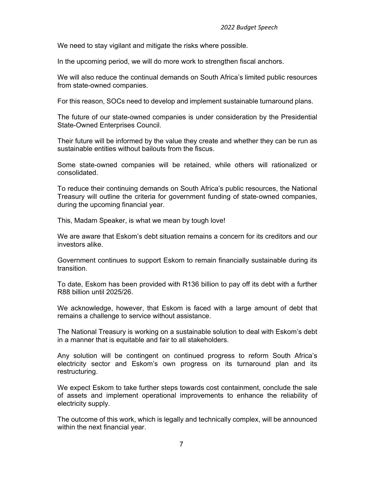We need to stay vigilant and mitigate the risks where possible.

In the upcoming period, we will do more work to strengthen fiscal anchors.

We will also reduce the continual demands on South Africa's limited public resources from state-owned companies.

For this reason, SOCs need to develop and implement sustainable turnaround plans.

The future of our state-owned companies is under consideration by the Presidential State-Owned Enterprises Council.

Their future will be informed by the value they create and whether they can be run as sustainable entities without bailouts from the fiscus.

Some state-owned companies will be retained, while others will rationalized or consolidated.

To reduce their continuing demands on South Africa's public resources, the National Treasury will outline the criteria for government funding of state‐owned companies, during the upcoming financial year.

This, Madam Speaker, is what we mean by tough love!

We are aware that Eskom's debt situation remains a concern for its creditors and our investors alike.

Government continues to support Eskom to remain financially sustainable during its transition.

To date, Eskom has been provided with R136 billion to pay off its debt with a further R88 billion until 2025/26.

We acknowledge, however, that Eskom is faced with a large amount of debt that remains a challenge to service without assistance.

The National Treasury is working on a sustainable solution to deal with Eskom's debt in a manner that is equitable and fair to all stakeholders.

Any solution will be contingent on continued progress to reform South Africa's electricity sector and Eskom's own progress on its turnaround plan and its restructuring.

We expect Eskom to take further steps towards cost containment, conclude the sale of assets and implement operational improvements to enhance the reliability of electricity supply.

The outcome of this work, which is legally and technically complex, will be announced within the next financial year.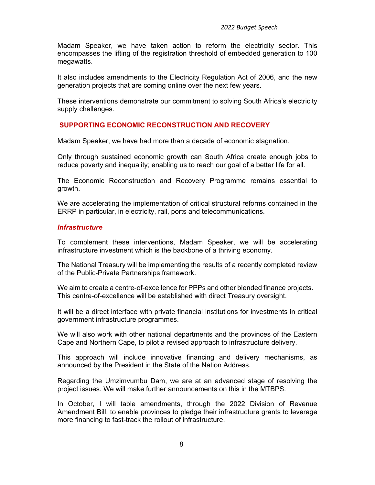Madam Speaker, we have taken action to reform the electricity sector. This encompasses the lifting of the registration threshold of embedded generation to 100 megawatts.

It also includes amendments to the Electricity Regulation Act of 2006, and the new generation projects that are coming online over the next few years.

These interventions demonstrate our commitment to solving South Africa's electricity supply challenges.

## **SUPPORTING ECONOMIC RECONSTRUCTION AND RECOVERY**

Madam Speaker, we have had more than a decade of economic stagnation.

Only through sustained economic growth can South Africa create enough jobs to reduce poverty and inequality; enabling us to reach our goal of a better life for all.

The Economic Reconstruction and Recovery Programme remains essential to growth.

We are accelerating the implementation of critical structural reforms contained in the ERRP in particular, in electricity, rail, ports and telecommunications.

#### *Infrastructure*

To complement these interventions, Madam Speaker, we will be accelerating infrastructure investment which is the backbone of a thriving economy.

The National Treasury will be implementing the results of a recently completed review of the Public-Private Partnerships framework.

We aim to create a centre-of-excellence for PPPs and other blended finance projects. This centre-of-excellence will be established with direct Treasury oversight.

It will be a direct interface with private financial institutions for investments in critical government infrastructure programmes.

We will also work with other national departments and the provinces of the Eastern Cape and Northern Cape, to pilot a revised approach to infrastructure delivery.

This approach will include innovative financing and delivery mechanisms, as announced by the President in the State of the Nation Address.

Regarding the Umzimvumbu Dam, we are at an advanced stage of resolving the project issues. We will make further announcements on this in the MTBPS.

In October, I will table amendments, through the 2022 Division of Revenue Amendment Bill, to enable provinces to pledge their infrastructure grants to leverage more financing to fast-track the rollout of infrastructure.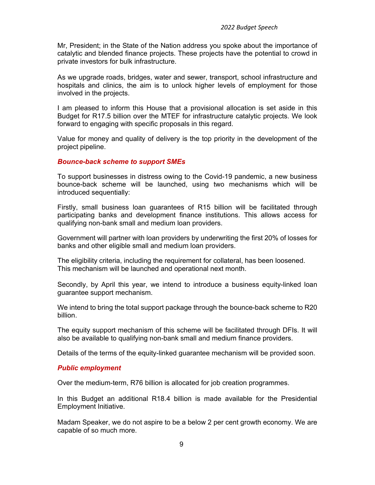Mr, President; in the State of the Nation address you spoke about the importance of catalytic and blended finance projects. These projects have the potential to crowd in private investors for bulk infrastructure.

As we upgrade roads, bridges, water and sewer, transport, school infrastructure and hospitals and clinics, the aim is to unlock higher levels of employment for those involved in the projects.

I am pleased to inform this House that a provisional allocation is set aside in this Budget for R17.5 billion over the MTEF for infrastructure catalytic projects. We look forward to engaging with specific proposals in this regard.

Value for money and quality of delivery is the top priority in the development of the project pipeline.

#### *Bounce-back scheme to support SMEs*

To support businesses in distress owing to the Covid-19 pandemic, a new business bounce-back scheme will be launched, using two mechanisms which will be introduced sequentially:

Firstly, small business loan guarantees of R15 billion will be facilitated through participating banks and development finance institutions. This allows access for qualifying non-bank small and medium loan providers.

Government will partner with loan providers by underwriting the first 20% of losses for banks and other eligible small and medium loan providers.

The eligibility criteria, including the requirement for collateral, has been loosened. This mechanism will be launched and operational next month.

Secondly, by April this year, we intend to introduce a business equity-linked loan guarantee support mechanism.

We intend to bring the total support package through the bounce-back scheme to R20 billion.

The equity support mechanism of this scheme will be facilitated through DFIs. It will also be available to qualifying non-bank small and medium finance providers.

Details of the terms of the equity-linked guarantee mechanism will be provided soon.

#### *Public employment*

Over the medium-term, R76 billion is allocated for job creation programmes.

In this Budget an additional R18.4 billion is made available for the Presidential Employment Initiative.

Madam Speaker, we do not aspire to be a below 2 per cent growth economy. We are capable of so much more.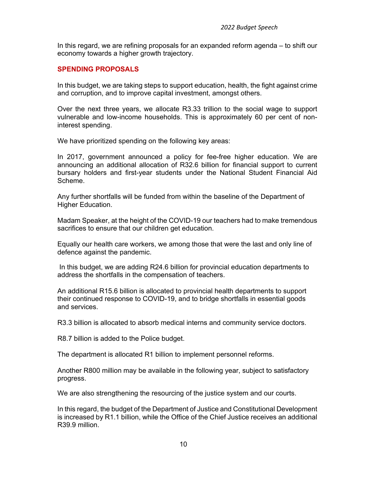In this regard, we are refining proposals for an expanded reform agenda – to shift our economy towards a higher growth trajectory.

#### **SPENDING PROPOSALS**

In this budget, we are taking steps to support education, health, the fight against crime and corruption, and to improve capital investment, amongst others.

Over the next three years, we allocate R3.33 trillion to the social wage to support vulnerable and low-income households. This is approximately 60 per cent of noninterest spending. 

We have prioritized spending on the following key areas:

In 2017, government announced a policy for fee-free higher education. We are announcing an additional allocation of R32.6 billion for financial support to current bursary holders and first-year students under the National Student Financial Aid Scheme.  

Any further shortfalls will be funded from within the baseline of the Department of Higher Education.

Madam Speaker, at the height of the COVID-19 our teachers had to make tremendous sacrifices to ensure that our children get education.

Equally our health care workers, we among those that were the last and only line of defence against the pandemic.

 In this budget, we are adding R24.6 billion for provincial education departments to address the shortfalls in the compensation of teachers.

An additional R15.6 billion is allocated to provincial health departments to support their continued response to COVID-19, and to bridge shortfalls in essential goods and services.

R3.3 billion is allocated to absorb medical interns and community service doctors.

R8.7 billion is added to the Police budget.

The department is allocated R1 billion to implement personnel reforms.

Another R800 million may be available in the following year, subject to satisfactory progress.

We are also strengthening the resourcing of the justice system and our courts.

In this regard, the budget of the Department of Justice and Constitutional Development is increased by R1.1 billion, while the Office of the Chief Justice receives an additional R39.9 million.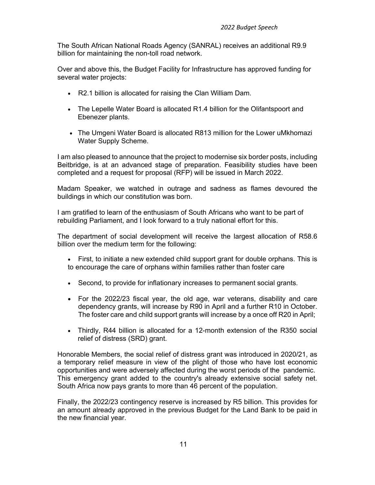The South African National Roads Agency (SANRAL) receives an additional R9.9 billion for maintaining the non-toll road network.

Over and above this, the Budget Facility for Infrastructure has approved funding for several water projects:

- R2.1 billion is allocated for raising the Clan William Dam.
- The Lepelle Water Board is allocated R1.4 billion for the Olifantspoort and Ebenezer plants.
- The Umgeni Water Board is allocated R813 million for the Lower uMkhomazi Water Supply Scheme.

I am also pleased to announce that the project to modernise six border posts, including Beitbridge, is at an advanced stage of preparation. Feasibility studies have been completed and a request for proposal (RFP) will be issued in March 2022.

Madam Speaker, we watched in outrage and sadness as flames devoured the buildings in which our constitution was born.

I am gratified to learn of the enthusiasm of South Africans who want to be part of rebuilding Parliament, and I look forward to a truly national effort for this.

The department of social development will receive the largest allocation of R58.6 billion over the medium term for the following:

- First, to initiate a new extended child support grant for double orphans. This is to encourage the care of orphans within families rather than foster care
- Second, to provide for inflationary increases to permanent social grants.
- For the 2022/23 fiscal year, the old age, war veterans, disability and care dependency grants, will increase by R90 in April and a further R10 in October. The foster care and child support grants will increase by a once off R20 in April;
- Thirdly, R44 billion is allocated for a 12-month extension of the R350 social relief of distress (SRD) grant.

Honorable Members, the social relief of distress grant was introduced in 2020/21, as a temporary relief measure in view of the plight of those who have lost economic opportunities and were adversely affected during the worst periods of the pandemic. This emergency grant added to the country's already extensive social safety net. South Africa now pays grants to more than 46 percent of the population.

Finally, the 2022/23 contingency reserve is increased by R5 billion. This provides for an amount already approved in the previous Budget for the Land Bank to be paid in the new financial year.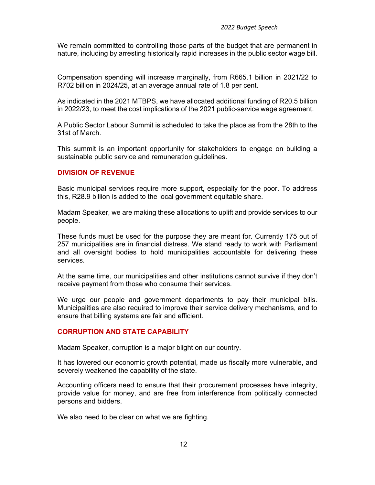We remain committed to controlling those parts of the budget that are permanent in nature, including by arresting historically rapid increases in the public sector wage bill.

Compensation spending will increase marginally, from R665.1 billion in 2021/22 to R702 billion in 2024/25, at an average annual rate of 1.8 per cent.  

As indicated in the 2021 MTBPS, we have allocated additional funding of R20.5 billion in 2022/23, to meet the cost implications of the 2021 public-service wage agreement. 

A Public Sector Labour Summit is scheduled to take the place as from the 28th to the 31st of March. 

This summit is an important opportunity for stakeholders to engage on building a sustainable public service and remuneration guidelines.

#### **DIVISION OF REVENUE**

Basic municipal services require more support, especially for the poor. To address this, R28.9 billion is added to the local government equitable share.

Madam Speaker, we are making these allocations to uplift and provide services to our people.

These funds must be used for the purpose they are meant for. Currently 175 out of 257 municipalities are in financial distress. We stand ready to work with Parliament and all oversight bodies to hold municipalities accountable for delivering these services.

At the same time, our municipalities and other institutions cannot survive if they don't receive payment from those who consume their services.

We urge our people and government departments to pay their municipal bills. Municipalities are also required to improve their service delivery mechanisms, and to ensure that billing systems are fair and efficient.

#### **CORRUPTION AND STATE CAPABILITY**

Madam Speaker, corruption is a major blight on our country.

It has lowered our economic growth potential, made us fiscally more vulnerable, and severely weakened the capability of the state.

Accounting officers need to ensure that their procurement processes have integrity, provide value for money, and are free from interference from politically connected persons and bidders.

We also need to be clear on what we are fighting.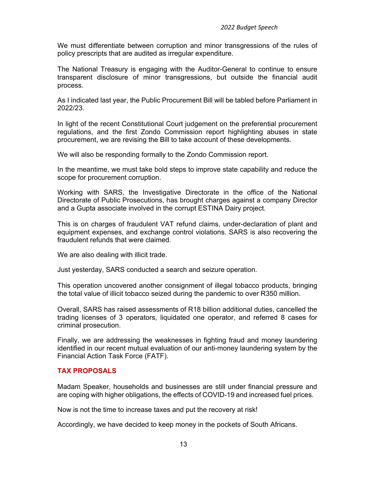We must differentiate between corruption and minor transgressions of the rules of policy prescripts that are audited as irregular expenditure.

The National Treasury is engaging with the Auditor-General to continue to ensure transparent disclosure of minor transgressions, but outside the financial audit process.

As I indicated last year, the Public Procurement Bill will be tabled before Parliament in 2022/23.

In light of the recent Constitutional Court judgement on the preferential procurement regulations, and the first Zondo Commission report highlighting abuses in state procurement, we are revising the Bill to take account of these developments.

We will also be responding formally to the Zondo Commission report.

In the meantime, we must take bold steps to improve state capability and reduce the scope for procurement corruption.

Working with SARS, the Investigative Directorate in the office of the National Directorate of Public Prosecutions, has brought charges against a company Director and a Gupta associate involved in the corrupt ESTINA Dairy project.

This is on charges of fraudulent VAT refund claims, under-declaration of plant and equipment expenses, and exchange control violations. SARS is also recovering the fraudulent refunds that were claimed.

We are also dealing with illicit trade.

Just yesterday, SARS conducted a search and seizure operation.

This operation uncovered another consignment of illegal tobacco products, bringing the total value of illicit tobacco seized during the pandemic to over R350 million.

Overall, SARS has raised assessments of R18 billion additional duties, cancelled the trading licenses of 3 operators, liquidated one operator, and referred 8 cases for criminal prosecution.

Finally, we are addressing the weaknesses in fighting fraud and money laundering identified in our recent mutual evaluation of our anti-money laundering system by the Financial Action Task Force (FATF).

#### **TAX PROPOSALS**

Madam Speaker, households and businesses are still under financial pressure and are coping with higher obligations, the effects of COVID-19 and increased fuel prices.

Now is not the time to increase taxes and put the recovery at risk!

Accordingly, we have decided to keep money in the pockets of South Africans.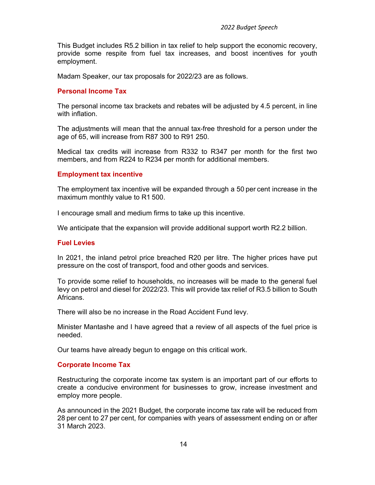This Budget includes R5.2 billion in tax relief to help support the economic recovery, provide some respite from fuel tax increases, and boost incentives for youth employment.

Madam Speaker, our tax proposals for 2022/23 are as follows. 

#### **Personal Income Tax**

The personal income tax brackets and rebates will be adjusted by 4.5 percent, in line with inflation. 

The adjustments will mean that the annual tax-free threshold for a person under the age of 65, will increase from R87 300 to R91 250.

Medical tax credits will increase from R332 to R347 per month for the first two members, and from R224 to R234 per month for additional members. 

#### **Employment tax incentive**

The employment tax incentive will be expanded through a 50 per cent increase in the maximum monthly value to R1 500. 

I encourage small and medium firms to take up this incentive. 

We anticipate that the expansion will provide additional support worth R2.2 billion. 

#### **Fuel Levies**

In 2021, the inland petrol price breached R20 per litre. The higher prices have put pressure on the cost of transport, food and other goods and services.

To provide some relief to households, no increases will be made to the general fuel levy on petrol and diesel for 2022/23. This will provide tax relief of R3.5 billion to South Africans.

There will also be no increase in the Road Accident Fund levy.

Minister Mantashe and I have agreed that a review of all aspects of the fuel price is needed.

Our teams have already begun to engage on this critical work.

#### **Corporate Income Tax**

Restructuring the corporate income tax system is an important part of our efforts to create a conducive environment for businesses to grow, increase investment and employ more people.

As announced in the 2021 Budget, the corporate income tax rate will be reduced from 28 per cent to 27 per cent, for companies with years of assessment ending on or after 31 March 2023.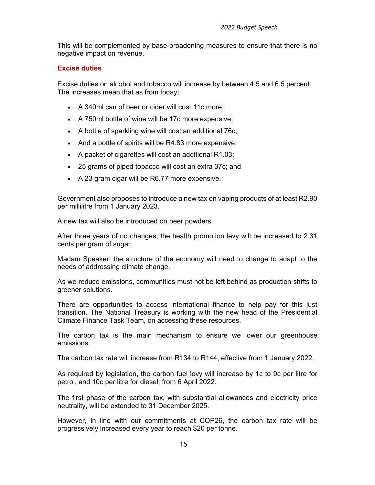This will be complemented by base-broadening measures to ensure that there is no negative impact on revenue.

#### **Excise duties**

Excise duties on alcohol and tobacco will increase by between 4.5 and 6.5 percent. The increases mean that as from today:

- A 340ml can of beer or cider will cost 11c more;
- A 750ml bottle of wine will be 17c more expensive;
- A bottle of sparkling wine will cost an additional 76c;
- And a bottle of spirits will be R4.83 more expensive;
- A packet of cigarettes will cost an additional R1.03;
- 25 grams of piped tobacco will cost an extra 37c; and
- A 23 gram cigar will be R6.77 more expensive.

Government also proposes to introduce a new tax on vaping products of at least R2.90 per millilitre from 1 January 2023.

A new tax will also be introduced on beer powders.

After three years of no changes, the health promotion levy will be increased to 2.31 cents per gram of sugar.

Madam Speaker, the structure of the economy will need to change to adapt to the needs of addressing climate change.

As we reduce emissions, communities must not be left behind as production shifts to greener solutions.

There are opportunities to access international finance to help pay for this just transition. The National Treasury is working with the new head of the Presidential Climate Finance Task Team, on accessing these resources.

The carbon tax is the main mechanism to ensure we lower our greenhouse emissions.

The carbon tax rate will increase from R134 to R144, effective from 1 January 2022.

As required by legislation, the carbon fuel levy will increase by 1c to 9c per litre for petrol, and 10c per litre for diesel, from 6 April 2022.

The first phase of the carbon tax, with substantial allowances and electricity price neutrality, will be extended to 31 December 2025.

However, in line with our commitments at COP26, the carbon tax rate will be progressively increased every year to reach \$20 per tonne.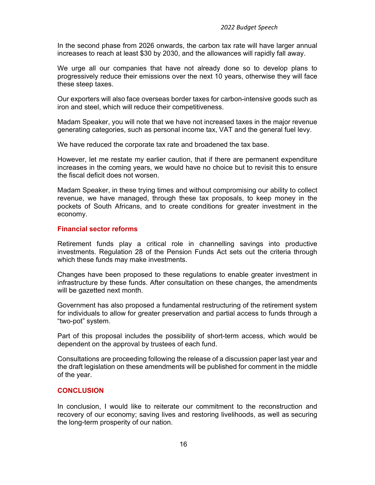In the second phase from 2026 onwards, the carbon tax rate will have larger annual increases to reach at least \$30 by 2030, and the allowances will rapidly fall away.

We urge all our companies that have not already done so to develop plans to progressively reduce their emissions over the next 10 years, otherwise they will face these steep taxes.

Our exporters will also face overseas border taxes for carbon-intensive goods such as iron and steel, which will reduce their competitiveness. 

Madam Speaker, you will note that we have not increased taxes in the major revenue generating categories, such as personal income tax, VAT and the general fuel levy.

We have reduced the corporate tax rate and broadened the tax base. 

However, let me restate my earlier caution, that if there are permanent expenditure increases in the coming years, we would have no choice but to revisit this to ensure the fiscal deficit does not worsen.

Madam Speaker, in these trying times and without compromising our ability to collect revenue, we have managed, through these tax proposals, to keep money in the pockets of South Africans, and to create conditions for greater investment in the economy.

#### **Financial sector reforms**

Retirement funds play a critical role in channelling savings into productive investments. Regulation 28 of the Pension Funds Act sets out the criteria through which these funds may make investments.

Changes have been proposed to these regulations to enable greater investment in infrastructure by these funds. After consultation on these changes, the amendments will be gazetted next month.

Government has also proposed a fundamental restructuring of the retirement system for individuals to allow for greater preservation and partial access to funds through a "two-pot" system.

Part of this proposal includes the possibility of short-term access, which would be dependent on the approval by trustees of each fund.

Consultations are proceeding following the release of a discussion paper last year and the draft legislation on these amendments will be published for comment in the middle of the year.

#### **CONCLUSION**

In conclusion, I would like to reiterate our commitment to the reconstruction and recovery of our economy; saving lives and restoring livelihoods, as well as securing the long-term prosperity of our nation.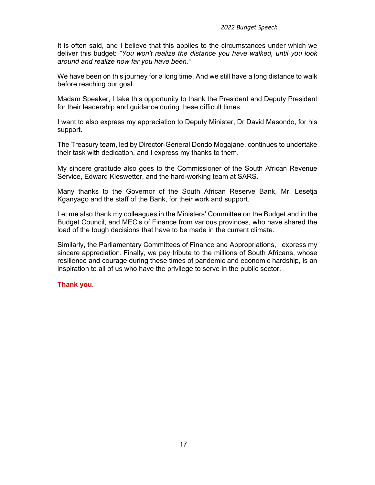It is often said, and I believe that this applies to the circumstances under which we deliver this budget: *"You won't realize the distance you have walked, until you look around and realize how far you have been."*

We have been on this journey for a long time. And we still have a long distance to walk before reaching our goal.

Madam Speaker, I take this opportunity to thank the President and Deputy President for their leadership and guidance during these difficult times.

I want to also express my appreciation to Deputy Minister, Dr David Masondo, for his support.

The Treasury team, led by Director-General Dondo Mogajane, continues to undertake their task with dedication, and I express my thanks to them.

My sincere gratitude also goes to the Commissioner of the South African Revenue Service, Edward Kieswetter, and the hard-working team at SARS.

Many thanks to the Governor of the South African Reserve Bank, Mr. Lesetja Kganyago and the staff of the Bank, for their work and support.

Let me also thank my colleagues in the Ministers' Committee on the Budget and in the Budget Council, and MEC's of Finance from various provinces, who have shared the load of the tough decisions that have to be made in the current climate.

Similarly, the Parliamentary Committees of Finance and Appropriations, I express my sincere appreciation. Finally, we pay tribute to the millions of South Africans, whose resilience and courage during these times of pandemic and economic hardship, is an inspiration to all of us who have the privilege to serve in the public sector.

#### **Thank you.**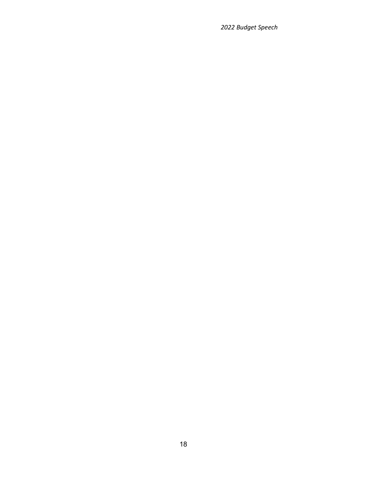*2022 Budget Speech*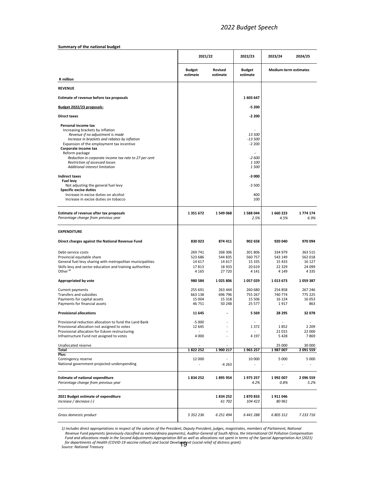#### **Summary of the national budget**

|                                                                                                                                                                                                                                                                                                                                                                  | 2021/22                                          |                                                 | 2022/23                                                    | 2023/24                                             | 2024/25                                           |
|------------------------------------------------------------------------------------------------------------------------------------------------------------------------------------------------------------------------------------------------------------------------------------------------------------------------------------------------------------------|--------------------------------------------------|-------------------------------------------------|------------------------------------------------------------|-----------------------------------------------------|---------------------------------------------------|
|                                                                                                                                                                                                                                                                                                                                                                  | <b>Budget</b><br>estimate                        | <b>Revised</b><br>estimate                      | <b>Budget</b><br>estimate                                  | <b>Medium-term estimates</b>                        |                                                   |
| <b>R</b> million                                                                                                                                                                                                                                                                                                                                                 |                                                  |                                                 |                                                            |                                                     |                                                   |
| <b>REVENUE</b>                                                                                                                                                                                                                                                                                                                                                   |                                                  |                                                 |                                                            |                                                     |                                                   |
| Estimate of revenue before tax proposals                                                                                                                                                                                                                                                                                                                         |                                                  |                                                 | 1603647                                                    |                                                     |                                                   |
| Budget 2022/23 proposals:                                                                                                                                                                                                                                                                                                                                        |                                                  |                                                 | $-5200$                                                    |                                                     |                                                   |
| <b>Direct taxes</b>                                                                                                                                                                                                                                                                                                                                              |                                                  |                                                 | $-2200$                                                    |                                                     |                                                   |
| Personal income tax<br>Increasing brackets by inflation<br>Revenue if no adjustment is made<br>Increase in brackets and rebates by inflation<br>Expansion of the employment tax incentive<br>Corporate income tax<br>Reform package<br>Reduction in corporate income tax rate to 27 per cent<br>Restriction of assessed losses<br>Additional interest limitation |                                                  |                                                 | 13 500<br>$-13,500$<br>$-2200$<br>$-2600$<br>1 100<br>1500 |                                                     |                                                   |
| <b>Indirect taxes</b>                                                                                                                                                                                                                                                                                                                                            |                                                  |                                                 |                                                            |                                                     |                                                   |
| <b>Fuel levy</b>                                                                                                                                                                                                                                                                                                                                                 |                                                  |                                                 | -3 000                                                     |                                                     |                                                   |
| Not adjusting the general fuel levy<br><b>Specific excise duties</b>                                                                                                                                                                                                                                                                                             |                                                  |                                                 | $-3500$                                                    |                                                     |                                                   |
| Increase in excise duties on alcohol<br>Increase in excise duties on tobacco                                                                                                                                                                                                                                                                                     |                                                  |                                                 | 400<br>100                                                 |                                                     |                                                   |
| Estimate of revenue after tax proposals<br>Percentage change from previous year                                                                                                                                                                                                                                                                                  | 1 351 672                                        | 1 549 068                                       | 1588044<br>2.5%                                            | 1660223<br>4.5%                                     | 1774 174<br>6.9%                                  |
| <b>EXPENDITURE</b>                                                                                                                                                                                                                                                                                                                                               |                                                  |                                                 |                                                            |                                                     |                                                   |
| Direct charges against the National Revenue Fund                                                                                                                                                                                                                                                                                                                 | 830 023                                          | 874 411                                         | 902 658                                                    | 920 040                                             | 970 094                                           |
| Debt-service costs<br>Provincial equitable share<br>General fuel levy sharing with metropolitan municipalities<br>Skills levy and sector education and training authorities<br>Other $1$                                                                                                                                                                         | 269 741<br>523 686<br>14 617<br>17813<br>4 1 6 5 | 268 306<br>544 835<br>14 617<br>18 933<br>27720 | 301 806<br>560757<br>15 3 35<br>20 6 19<br>4 1 4 1         | 334 979<br>543 149<br>15 4 33<br>22 3 29<br>4 1 4 9 | 363 515<br>562 018<br>16 127<br>24 099<br>4 3 3 5 |
| Appropriated by vote                                                                                                                                                                                                                                                                                                                                             | 980 584                                          | 1025806                                         | 1057029                                                    | 1013673                                             | 1059387                                           |
| Current payments<br>Transfers and subsidies<br>Payments for capital assets<br>Payments for financial assets                                                                                                                                                                                                                                                      | 255 691<br>663 138<br>15 004<br>46 751           | 263 444<br>696 796<br>15 318<br>50 248          | 260 680<br>755 267<br>15 506<br>25 577                     | 254 858<br>740 774<br>16 124<br>1917                | 267 246<br>775 225<br>16 053<br>863               |
| <b>Provisional allocations</b>                                                                                                                                                                                                                                                                                                                                   | 11 645                                           |                                                 | 5 5 6 9                                                    | 28 295                                              | 32 078                                            |
| Provisional reduction allocation to fund the Land Bank<br>Provisional allocation not assigned to votes<br>Provisional allocation for Eskom restructuring<br>Infrastructure Fund not assigned to votes                                                                                                                                                            | $-5000$<br>12 645<br>4 0 0 0                     |                                                 | 1372<br>4 1 9 7                                            | 1852<br>21 0 15<br>5428                             | 2 2 0 9<br>22 000<br>7869                         |
| Unallocated reserve<br>Total                                                                                                                                                                                                                                                                                                                                     | 1822252                                          | 1 900 217                                       | 1965257                                                    | 25 000<br>1987007                                   | 30 000<br>2 091 559                               |
| Plus:<br>Contingency reserve<br>National government projected underspending                                                                                                                                                                                                                                                                                      | 12 000<br>ä,                                     | -4 263                                          | 10 000<br>$\overline{a}$                                   | 5 0 0 0                                             | 5 0 0 0                                           |
| <b>Estimate of national expenditure</b><br>Percentage change from previous year                                                                                                                                                                                                                                                                                  | 1834252                                          | 1895954                                         | 1975 257<br>4.2%                                           | 1992007<br>0.8%                                     | 2 096 559<br>5.2%                                 |
| 2021 Budget estimate of expenditure<br>Increase / decrease (-)                                                                                                                                                                                                                                                                                                   |                                                  | 1834252<br>61 702                               | 1870833<br>104 423                                         | 1911046<br>80 961                                   |                                                   |
| Gross domestic product                                                                                                                                                                                                                                                                                                                                           | 5 352 236                                        | 6 251 494                                       | 6 441 288                                                  | 6 805 312                                           | 7 233 716                                         |

19 1) Includes direct appropriations in respect of the salaries of the President, Deputy President, judges, magistrates, members of Parliament, National<br>Revenue Fund payments (previously classified as extraordinary payments),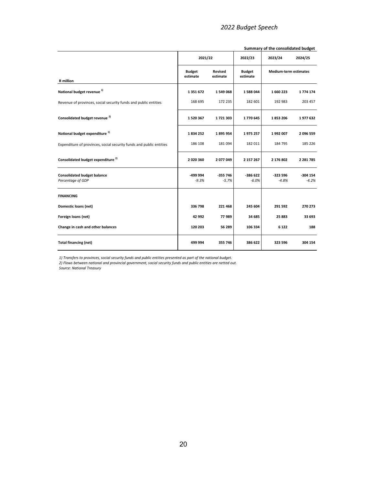## *2022 Budget Speech*

|                                                                     | 2021/22<br>2022/23<br><b>Budget</b><br><b>Revised</b><br><b>Budget</b><br>estimate<br>estimate<br>estimate |                      |                     | 2023/24                      | 2024/25               |
|---------------------------------------------------------------------|------------------------------------------------------------------------------------------------------------|----------------------|---------------------|------------------------------|-----------------------|
| R million                                                           |                                                                                                            |                      |                     | <b>Medium-term estimates</b> |                       |
| National budget revenue <sup>1)</sup>                               | 1351672                                                                                                    | 1549068              | 1588044             | 1660223                      | 1 774 174             |
| Revenue of provinces, social security funds and public entities     | 168 695                                                                                                    | 172 235              | 182 601             | 192 983                      | 203 457               |
| Consolidated budget revenue <sup>2)</sup>                           | 1520367                                                                                                    | 1721303              | 1770 645            | 1853206                      | 1977632               |
| National budget expenditure <sup>1)</sup>                           | 1834252                                                                                                    | 1895954              | 1975 257            | 1992007                      | 2 096 559             |
| Expenditure of provinces, social security funds and public entities | 186 108                                                                                                    | 181 094              | 182011              | 184 795                      | 185 226               |
| Consolidated budget expenditure <sup>2)</sup>                       | 2020360                                                                                                    | 2077049              | 2 157 267           | 2 176 802                    | 2 2 8 1 7 8 5         |
| <b>Consolidated budget balance</b><br>Percentage of GDP             | -499 994<br>$-9.3%$                                                                                        | $-355746$<br>$-5.7%$ | -386 622<br>$-6.0%$ | $-323596$<br>$-4.8%$         | $-304$ 154<br>$-4.2%$ |
| <b>FINANCING</b>                                                    |                                                                                                            |                      |                     |                              |                       |
| Domestic loans (net)                                                | 336 798                                                                                                    | 221 468              | 245 604             | 291 592                      | 270 273               |
| Foreign loans (net)                                                 | 42 992                                                                                                     | 77989                | 34 685              | 25 883                       | 33 693                |
| Change in cash and other balances                                   | 120 203                                                                                                    | 56 289               | 106 334             | 6 1 2 2                      | 188                   |
| <b>Total financing (net)</b>                                        | 499 994                                                                                                    | 355 746              | 386 622             | 323 596                      | 304 154               |

#### **Summary of the consolidated budget**

*1) Transfers to provinces, social security funds and public entities presented as part of the national budget.*

*2) Flows between national and provincial government, social security funds and public entities are netted out.*

*Source: National Treasury*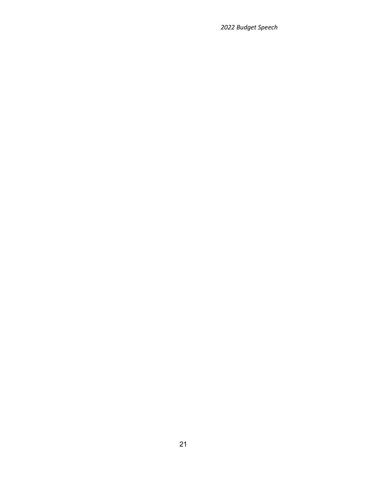*2022 Budget Speech*